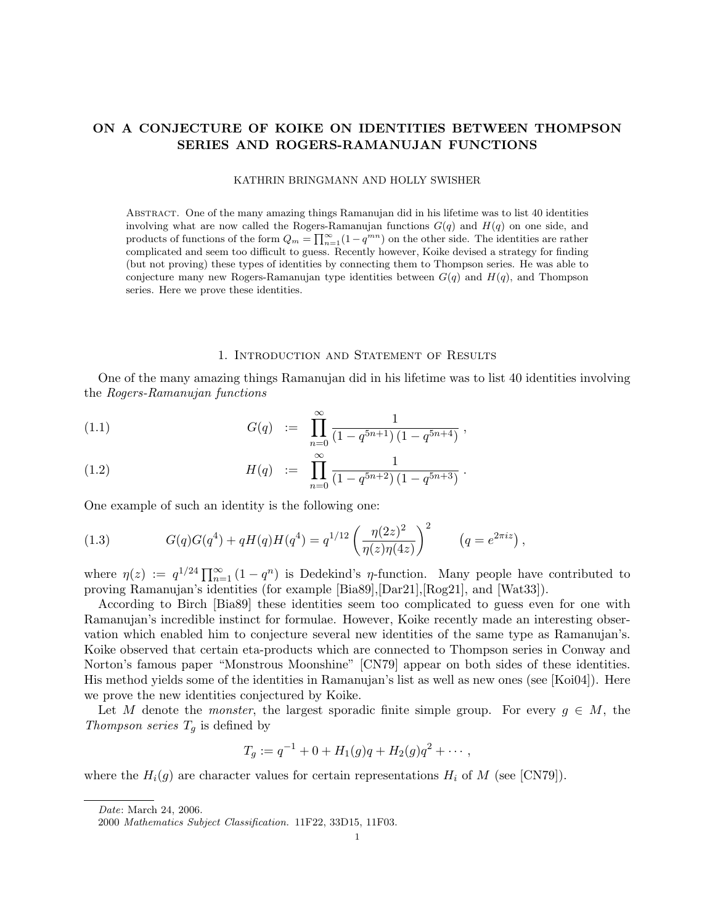# ON A CONJECTURE OF KOIKE ON IDENTITIES BETWEEN THOMPSON SERIES AND ROGERS-RAMANUJAN FUNCTIONS

## KATHRIN BRINGMANN AND HOLLY SWISHER

Abstract. One of the many amazing things Ramanujan did in his lifetime was to list 40 identities involving what are now called the Rogers-Ramanujan functions  $G(q)$  and  $H(q)$  on one side, and products of functions of the form  $Q_m = \prod_{n=1}^{\infty} (1 - q^{mn})$  on the other side. The identities are rather complicated and seem too difficult to guess. Recently however, Koike devised a strategy for finding (but not proving) these types of identities by connecting them to Thompson series. He was able to conjecture many new Rogers-Ramanujan type identities between  $G(q)$  and  $H(q)$ , and Thompson series. Here we prove these identities.

# 1. Introduction and Statement of Results

One of the many amazing things Ramanujan did in his lifetime was to list 40 identities involving the Rogers-Ramanujan functions

(1.1) 
$$
G(q) := \prod_{n=0}^{\infty} \frac{1}{(1-q^{5n+1})(1-q^{5n+4})},
$$

(1.2) 
$$
H(q) := \prod_{n=0}^{\infty} \frac{1}{(1-q^{5n+2})(1-q^{5n+3})}.
$$

One example of such an identity is the following one:

(1.3) 
$$
G(q)G(q^4) + qH(q)H(q^4) = q^{1/12} \left(\frac{\eta(2z)^2}{\eta(z)\eta(4z)}\right)^2 \qquad (q = e^{2\pi i z}),
$$

where  $\eta(z) := q^{1/24} \prod_{n=1}^{\infty} (1 - q^n)$  is Dedekind's  $\eta$ -function. Many people have contributed to proving Ramanujan's identities (for example [Bia89],[Dar21],[Rog21], and [Wat33]).

According to Birch [Bia89] these identities seem too complicated to guess even for one with Ramanujan's incredible instinct for formulae. However, Koike recently made an interesting observation which enabled him to conjecture several new identities of the same type as Ramanujan's. Koike observed that certain eta-products which are connected to Thompson series in Conway and Norton's famous paper "Monstrous Moonshine" [CN79] appear on both sides of these identities. His method yields some of the identities in Ramanujan's list as well as new ones (see [Koi04]). Here we prove the new identities conjectured by Koike.

Let M denote the monster, the largest sporadic finite simple group. For every  $g \in M$ , the *Thompson series*  $T_g$  is defined by

$$
T_g := q^{-1} + 0 + H_1(g)q + H_2(g)q^2 + \cdots,
$$

where the  $H_i(g)$  are character values for certain representations  $H_i$  of M (see [CN79]).

Date: March 24, 2006.

<sup>2000</sup> Mathematics Subject Classification. 11F22, 33D15, 11F03.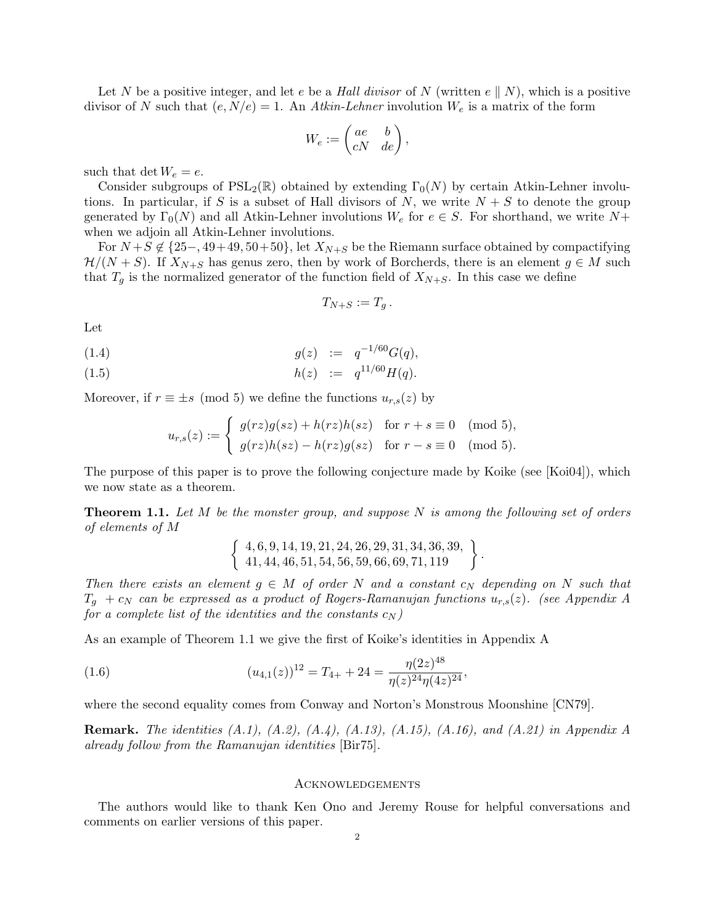Let N be a positive integer, and let e be a Hall divisor of N (written  $e \parallel N$ ), which is a positive divisor of N such that  $(e, N/e) = 1$ . An Atkin-Lehner involution  $W_e$  is a matrix of the form

$$
W_e := \begin{pmatrix} ae & b \\ cN & de \end{pmatrix},
$$

such that det  $W_e = e$ .

Consider subgroups of  $PSL_2(\mathbb{R})$  obtained by extending  $\Gamma_0(N)$  by certain Atkin-Lehner involutions. In particular, if S is a subset of Hall divisors of N, we write  $N + S$  to denote the group generated by  $\Gamma_0(N)$  and all Atkin-Lehner involutions  $W_e$  for  $e \in S$ . For shorthand, we write  $N+$ when we adjoin all Atkin-Lehner involutions.

For  $N + S \notin \{25-, 49+49, 50+50\}$ , let  $X_{N+S}$  be the Riemann surface obtained by compactifying  $\mathcal{H}/(N+S)$ . If  $X_{N+S}$  has genus zero, then by work of Borcherds, there is an element  $g \in M$  such that  $T_g$  is the normalized generator of the function field of  $X_{N+S}$ . In this case we define

$$
T_{N+S} := T_g.
$$

Let

(1.4) 
$$
g(z) := q^{-1/60} G(q),
$$

(1.5) 
$$
h(z) := q^{11/60} H(q).
$$

Moreover, if  $r \equiv \pm s \pmod{5}$  we define the functions  $u_{r,s}(z)$  by

$$
u_{r,s}(z) := \begin{cases} g(rz)g(sz) + h(rz)h(sz) & \text{for } r+s \equiv 0 \pmod{5}, \\ g(rz)h(sz) - h(rz)g(sz) & \text{for } r-s \equiv 0 \pmod{5}. \end{cases}
$$

The purpose of this paper is to prove the following conjecture made by Koike (see [Koi04]), which we now state as a theorem.

**Theorem 1.1.** Let M be the monster group, and suppose N is among the following set of orders of elements of M

$$
\left\{\n\begin{array}{c}\n4,6,9,14,19,21,24,26,29,31,34,36,39, \\
41,44,46,51,54,56,59,66,69,71,119\n\end{array}\n\right\}
$$

.

Then there exists an element  $g \in M$  of order N and a constant  $c_N$  depending on N such that  $T_g + c_N$  can be expressed as a product of Rogers-Ramanujan functions  $u_{r,s}(z)$ . (see Appendix A for a complete list of the identities and the constants  $c_N$ )

As an example of Theorem 1.1 we give the first of Koike's identities in Appendix A

(1.6) 
$$
(u_{4,1}(z))^{12} = T_{4+} + 24 = \frac{\eta(2z)^{48}}{\eta(z)^{24}\eta(4z)^{24}},
$$

where the second equality comes from Conway and Norton's Monstrous Moonshine [CN79].

**Remark.** The identities  $(A.1)$ ,  $(A.2)$ ,  $(A.4)$ ,  $(A.13)$ ,  $(A.15)$ ,  $(A.16)$ , and  $(A.21)$  in Appendix A already follow from the Ramanujan identities [Bir75].

#### Acknowledgements

The authors would like to thank Ken Ono and Jeremy Rouse for helpful conversations and comments on earlier versions of this paper.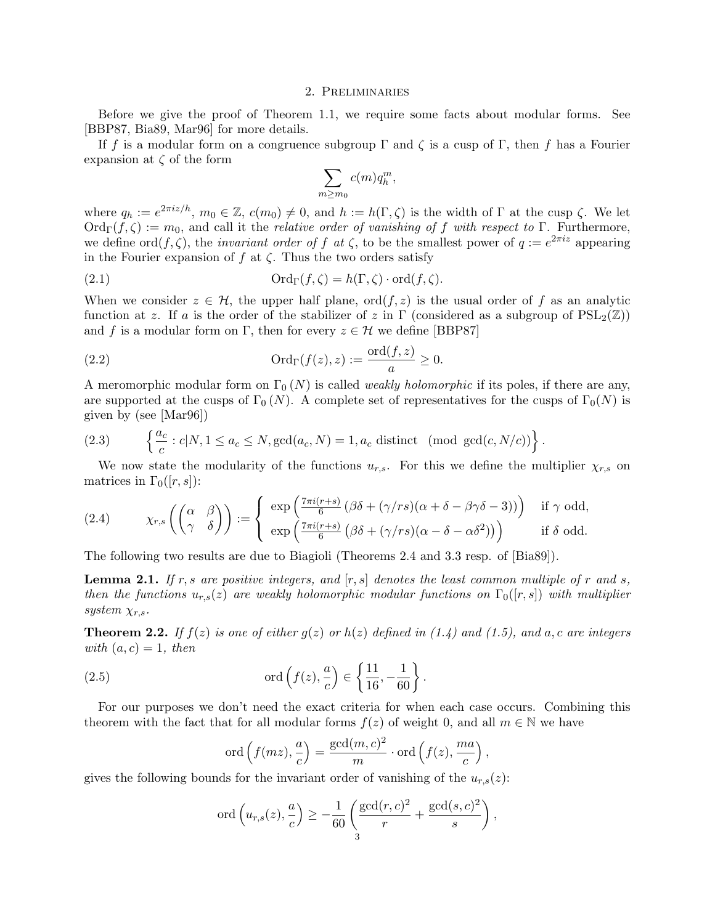### 2. Preliminaries

Before we give the proof of Theorem 1.1, we require some facts about modular forms. See [BBP87, Bia89, Mar96] for more details.

If f is a modular form on a congruence subgroup  $\Gamma$  and  $\zeta$  is a cusp of  $\Gamma$ , then f has a Fourier expansion at  $\zeta$  of the form

$$
\sum_{m\geq m_0}c(m)q_h^m,
$$

where  $q_h := e^{2\pi i z/h}$ ,  $m_0 \in \mathbb{Z}$ ,  $c(m_0) \neq 0$ , and  $h := h(\Gamma, \zeta)$  is the width of  $\Gamma$  at the cusp  $\zeta$ . We let  $\text{Ord}_{\Gamma}(f,\zeta) := m_0$ , and call it the *relative order of vanishing of f with respect to* Γ. Furthermore, we define ord $(f, \zeta)$ , the *invariant order of f at*  $\zeta$ , to be the smallest power of  $q := e^{2\pi i z}$  appearing in the Fourier expansion of  $f$  at  $\zeta$ . Thus the two orders satisfy

(2.1) 
$$
\operatorname{Ord}_{\Gamma}(f,\zeta)=h(\Gamma,\zeta)\cdot\operatorname{ord}(f,\zeta).
$$

When we consider  $z \in \mathcal{H}$ , the upper half plane,  $\text{ord}(f, z)$  is the usual order of f as an analytic function at z. If a is the order of the stabilizer of z in  $\Gamma$  (considered as a subgroup of  $PSL_2(\mathbb{Z})$ ) and f is a modular form on Γ, then for every  $z \in H$  we define [BBP87]

(2.2) 
$$
\operatorname{Ord}_{\Gamma}(f(z),z):=\frac{\operatorname{ord}(f,z)}{a}\geq 0.
$$

A meromorphic modular form on  $\Gamma_0(N)$  is called *weakly holomorphic* if its poles, if there are any, are supported at the cusps of  $\Gamma_0(N)$ . A complete set of representatives for the cusps of  $\Gamma_0(N)$  is given by (see [Mar96])

(2.3) 
$$
\left\{ \frac{a_c}{c} : c \mid N, 1 \le a_c \le N, \gcd(a_c, N) = 1, a_c \text{ distinct } (\text{mod } \gcd(c, N/c)) \right\}.
$$

We now state the modularity of the functions  $u_{r,s}$ . For this we define the multiplier  $\chi_{r,s}$  on matrices in  $\Gamma_0([r,s])$ :

(2.4) 
$$
\chi_{r,s}\left(\begin{pmatrix} \alpha & \beta \\ \gamma & \delta \end{pmatrix}\right) := \begin{cases} \exp\left(\frac{7\pi i (r+s)}{6} \left(\beta \delta + (\gamma/rs)(\alpha + \delta - \beta \gamma \delta - 3)\right)\right) & \text{if } \gamma \text{ odd,} \\ \exp\left(\frac{7\pi i (r+s)}{6} \left(\beta \delta + (\gamma/rs)(\alpha - \delta - \alpha \delta^2)\right)\right) & \text{if } \delta \text{ odd.} \end{cases}
$$

The following two results are due to Biagioli (Theorems 2.4 and 3.3 resp. of [Bia89]).

**Lemma 2.1.** If r, s are positive integers, and  $[r, s]$  denotes the least common multiple of r and s, then the functions  $u_{r,s}(z)$  are weakly holomorphic modular functions on  $\Gamma_0([r,s])$  with multiplier system  $\chi_{r,s}$ .

**Theorem 2.2.** If  $f(z)$  is one of either  $g(z)$  or  $h(z)$  defined in (1.4) and (1.5), and a, c are integers with  $(a, c) = 1$ , then

(2.5) 
$$
\operatorname{ord}\left(f(z), \frac{a}{c}\right) \in \left\{\frac{11}{16}, -\frac{1}{60}\right\}.
$$

For our purposes we don't need the exact criteria for when each case occurs. Combining this theorem with the fact that for all modular forms  $f(z)$  of weight 0, and all  $m \in \mathbb{N}$  we have

$$
ord(f(mz), \frac{a}{c}) = \frac{\gcd(m, c)^2}{m} \cdot ord(f(z), \frac{ma}{c}),
$$

gives the following bounds for the invariant order of vanishing of the  $u_{r,s}(z)$ :

$$
\text{ord}\left(u_{r,s}(z),\frac{a}{c}\right) \ge -\frac{1}{60} \left(\frac{\gcd(r,c)^2}{r} + \frac{\gcd(s,c)^2}{s}\right),\,
$$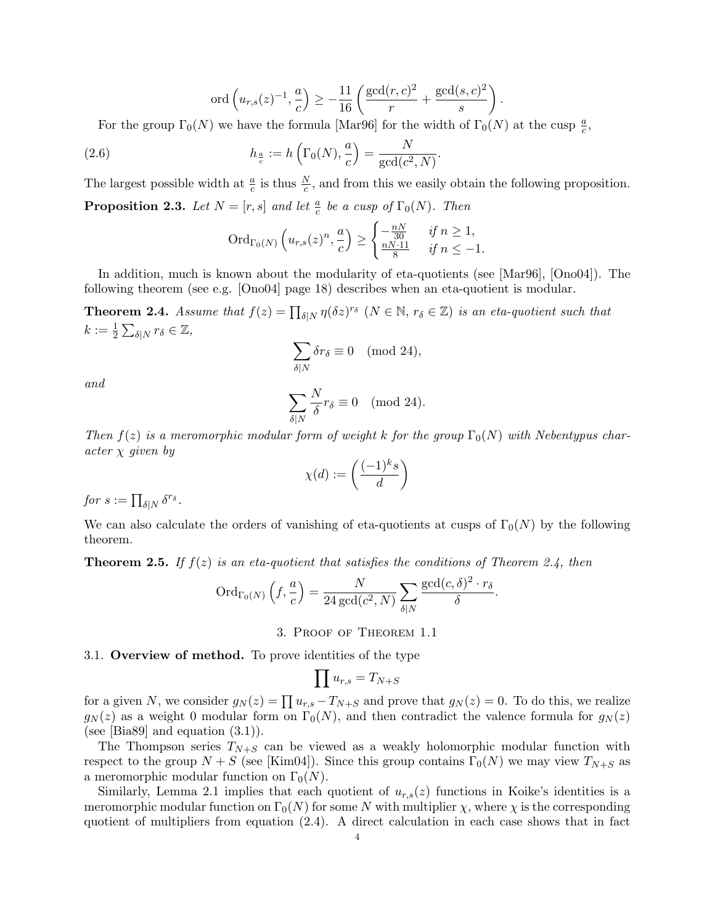$$
\text{ord}\left(u_{r,s}(z)^{-1},\frac{a}{c}\right) \ge -\frac{11}{16}\left(\frac{\gcd(r,c)^2}{r} + \frac{\gcd(s,c)^2}{s}\right).
$$

For the group  $\Gamma_0(N)$  we have the formula [Mar96] for the width of  $\Gamma_0(N)$  at the cusp  $\frac{a}{c}$ ,

(2.6) 
$$
h_{\frac{a}{c}} := h\left(\Gamma_0(N), \frac{a}{c}\right) = \frac{N}{\gcd(c^2, N)}.
$$

The largest possible width at  $\frac{a}{c}$  is thus  $\frac{N}{c}$ , and from this we easily obtain the following proposition. **Proposition 2.3.** Let  $N = [r, s]$  and let  $\frac{a}{c}$  be a cusp of  $\Gamma_0(N)$ . Then

$$
\operatorname{Ord}_{\Gamma_0(N)}\left(u_{r,s}(z)^n,\frac{a}{c}\right)\geq \begin{cases}\frac{-nN}{30} & \text{if }n\geq 1,\\ \frac{nN\cdot 11}{8} & \text{if }n\leq -1.\end{cases}
$$

In addition, much is known about the modularity of eta-quotients (see [Mar96], [Ono04]). The following theorem (see e.g. [Ono04] page 18) describes when an eta-quotient is modular.

**Theorem 2.4.** Assume that  $f(z) = \prod_{\delta|N} \eta(\delta z)^{r_{\delta}}$   $(N \in \mathbb{N}, r_{\delta} \in \mathbb{Z})$  is an eta-quotient such that  $k := \frac{1}{2} \sum_{\delta | N} r_{\delta} \in \mathbb{Z},$ 

$$
\sum_{\delta|N} \delta r_{\delta} \equiv 0 \pmod{24},
$$

and

$$
\sum_{\delta|N} \frac{N}{\delta} r_{\delta} \equiv 0 \pmod{24}.
$$

Then  $f(z)$  is a meromorphic modular form of weight k for the group  $\Gamma_0(N)$  with Nebentypus character  $\chi$  given by

$$
\chi(d):=\left(\frac{(-1)^k s}{d}\right)
$$

for  $s := \prod_{\delta|N} \delta^{r_{\delta}}$ .

We can also calculate the orders of vanishing of eta-quotients at cusps of  $\Gamma_0(N)$  by the following theorem.

**Theorem 2.5.** If  $f(z)$  is an eta-quotient that satisfies the conditions of Theorem 2.4, then

$$
\operatorname{Ord}_{\Gamma_0(N)}\left(f,\frac{a}{c}\right)=\frac{N}{24\operatorname{gcd}(c^2,N)}\sum_{\delta|N}\frac{\operatorname{gcd}(c,\delta)^2\cdot r_\delta}{\delta}
$$

.

3. Proof of Theorem 1.1

3.1. Overview of method. To prove identities of the type

$$
\prod u_{r,s}=T_{N+S}
$$

for a given N, we consider  $g_N(z) = \prod u_{r,s} - T_{N+S}$  and prove that  $g_N(z) = 0$ . To do this, we realize  $g_N(z)$  as a weight 0 modular form on  $\Gamma_0(N)$ , and then contradict the valence formula for  $g_N(z)$ (see [Bia89] and equation (3.1)).

The Thompson series  $T_{N+S}$  can be viewed as a weakly holomorphic modular function with respect to the group  $N + S$  (see [Kim04]). Since this group contains  $\Gamma_0(N)$  we may view  $T_{N+S}$  as a meromorphic modular function on  $\Gamma_0(N)$ .

Similarly, Lemma 2.1 implies that each quotient of  $u_{r,s}(z)$  functions in Koike's identities is a meromorphic modular function on  $\Gamma_0(N)$  for some N with multiplier  $\chi$ , where  $\chi$  is the corresponding quotient of multipliers from equation (2.4). A direct calculation in each case shows that in fact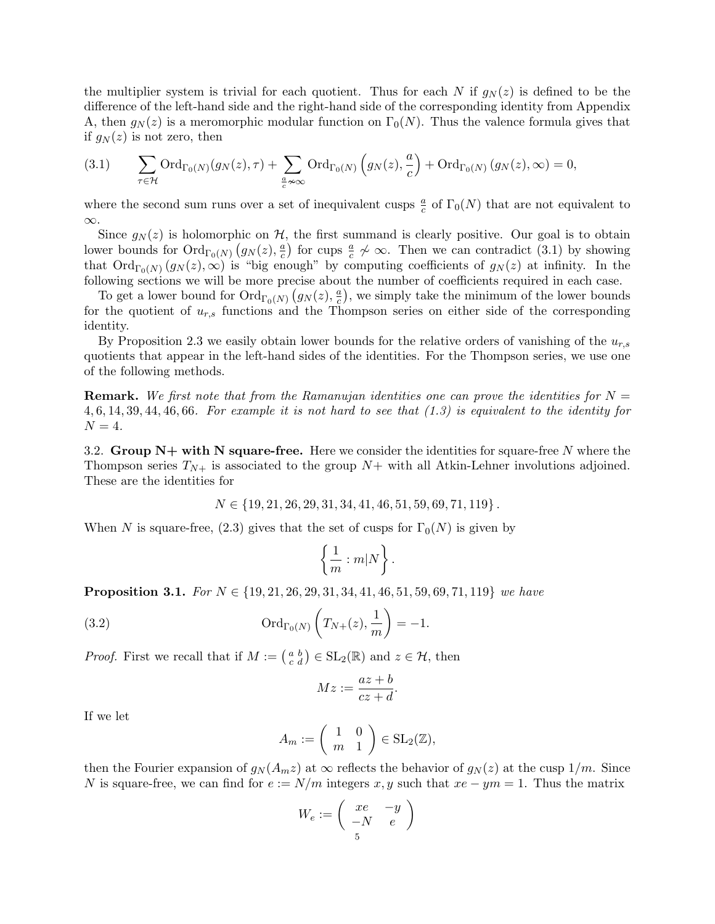the multiplier system is trivial for each quotient. Thus for each N if  $g_N(z)$  is defined to be the difference of the left-hand side and the right-hand side of the corresponding identity from Appendix A, then  $g_N(z)$  is a meromorphic modular function on  $\Gamma_0(N)$ . Thus the valence formula gives that if  $g_N(z)$  is not zero, then

(3.1) 
$$
\sum_{\tau \in \mathcal{H}} \text{Ord}_{\Gamma_0(N)}(g_N(z), \tau) + \sum_{\frac{a}{c} \nsim \infty} \text{Ord}_{\Gamma_0(N)}(g_N(z), \frac{a}{c}) + \text{Ord}_{\Gamma_0(N)}(g_N(z), \infty) = 0,
$$

where the second sum runs over a set of inequivalent cusps  $\frac{a}{c}$  of  $\Gamma_0(N)$  that are not equivalent to ∞.

Since  $g_N(z)$  is holomorphic on H, the first summand is clearly positive. Our goal is to obtain lower bounds for  $\text{Ord}_{\Gamma_0(N)}(g_N(z),\frac{a}{c})$  $\frac{a}{c}$  for cups  $\frac{a}{c} \nsim \infty$ . Then we can contradict (3.1) by showing that  $\text{Ord}_{\Gamma_0(N)}(g_N(z),\infty)$  is "big enough" by computing coefficients of  $g_N(z)$  at infinity. In the following sections we will be more precise about the number of coefficients required in each case.

To get a lower bound for  $\operatorname{Ord}_{\Gamma_0(N)}\big(g_N(z),\frac{a}{c}\big)$  $\frac{a}{c}$ , we simply take the minimum of the lower bounds for the quotient of  $u_{r,s}$  functions and the Thompson series on either side of the corresponding identity.

By Proposition 2.3 we easily obtain lower bounds for the relative orders of vanishing of the  $u_{r,s}$ quotients that appear in the left-hand sides of the identities. For the Thompson series, we use one of the following methods.

**Remark.** We first note that from the Ramanujan identities one can prove the identities for  $N =$ 4, 6, 14, 39, 44, 46, 66. For example it is not hard to see that (1.3) is equivalent to the identity for  $N=4$ .

3.2. Group  $N+$  with N square-free. Here we consider the identities for square-free N where the Thompson series  $T_{N+}$  is associated to the group  $N+$  with all Atkin-Lehner involutions adjoined. These are the identities for

$$
N \in \{19, 21, 26, 29, 31, 34, 41, 46, 51, 59, 69, 71, 119\}.
$$

When N is square-free, (2.3) gives that the set of cusps for  $\Gamma_0(N)$  is given by

$$
\left\{\frac{1}{m}:m|N\right\}.
$$

**Proposition 3.1.** For  $N \in \{19, 21, 26, 29, 31, 34, 41, 46, 51, 59, 69, 71, 119\}$  we have

(3.2) 
$$
\operatorname{Ord}_{\Gamma_0(N)}\left(T_{N+}(z),\frac{1}{m}\right)=-1.
$$

*Proof.* First we recall that if  $M := \begin{pmatrix} a & b \\ c & d \end{pmatrix} \in SL_2(\mathbb{R})$  and  $z \in \mathcal{H}$ , then

$$
Mz := \frac{az+b}{cz+d}.
$$

If we let

$$
A_m := \left( \begin{array}{cc} 1 & 0 \\ m & 1 \end{array} \right) \in \text{SL}_2(\mathbb{Z}),
$$

then the Fourier expansion of  $g_N(A_m z)$  at  $\infty$  reflects the behavior of  $g_N(z)$  at the cusp  $1/m$ . Since N is square-free, we can find for  $e := N/m$  integers x, y such that  $xe - ym = 1$ . Thus the matrix

$$
W_e:=\left(\begin{array}{cc} xe & -y \\ -N & e \\ 5 \end{array}\right)
$$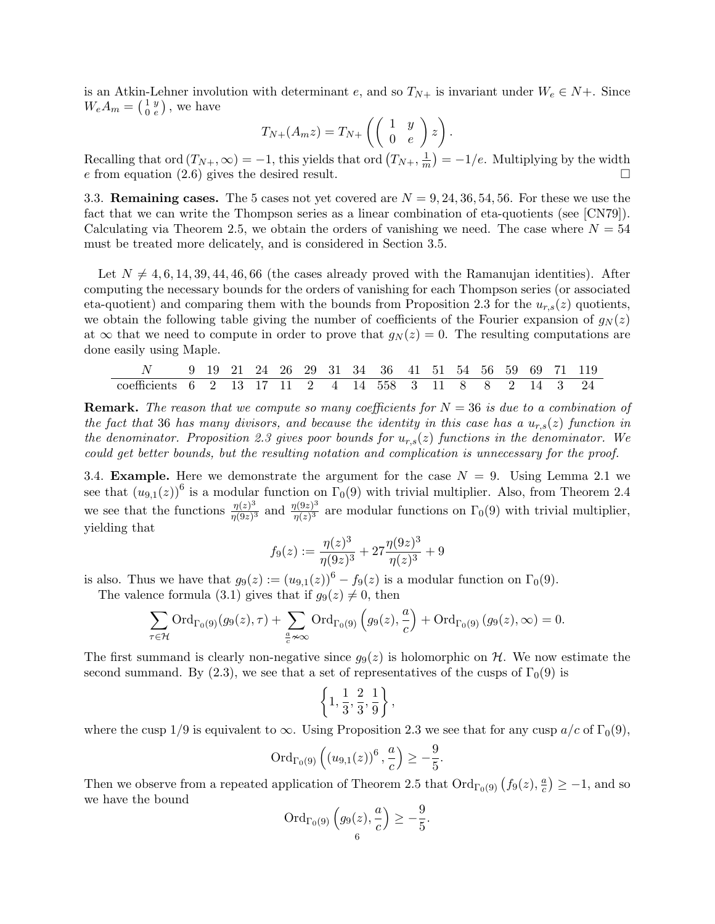is an Atkin-Lehner involution with determinant e, and so  $T_{N+}$  is invariant under  $W_e \in N+$ . Since  $W_eA_m = \begin{pmatrix} 1 & y \\ 0 & e \end{pmatrix}$  $\begin{smallmatrix} 1 & y \\ 0 & e \end{smallmatrix}$ , we have

$$
T_{N+}(A_m z) = T_{N+}\left(\begin{pmatrix} 1 & y \ 0 & e \end{pmatrix} z\right).
$$

Recalling that ord  $(T_{N+}, \infty) = -1$ , this yields that ord  $(T_{N+}, \frac{1}{m})$  $(\frac{1}{m}) = -1/e$ . Multiplying by the width e from equation (2.6) gives the desired result.  $\square$ 

3.3. Remaining cases. The 5 cases not yet covered are  $N = 9, 24, 36, 54, 56$ . For these we use the fact that we can write the Thompson series as a linear combination of eta-quotients (see [CN79]). Calculating via Theorem 2.5, we obtain the orders of vanishing we need. The case where  $N = 54$ must be treated more delicately, and is considered in Section 3.5.

Let  $N \neq 4, 6, 14, 39, 44, 46, 66$  (the cases already proved with the Ramanujan identities). After computing the necessary bounds for the orders of vanishing for each Thompson series (or associated eta-quotient) and comparing them with the bounds from Proposition 2.3 for the  $u_{r,s}(z)$  quotients, we obtain the following table giving the number of coefficients of the Fourier expansion of  $g_N(z)$ at  $\infty$  that we need to compute in order to prove that  $g_N(z) = 0$ . The resulting computations are done easily using Maple.

N 9 19 21 24 26 29 31 34 36 41 51 54 56 59 69 71 119 coefficients 6 2 13 17 11 2 4 14 558 3 11 8 8 2 14 3 24

**Remark.** The reason that we compute so many coefficients for  $N = 36$  is due to a combination of the fact that 36 has many divisors, and because the identity in this case has a  $u_{r,s}(z)$  function in the denominator. Proposition 2.3 gives poor bounds for  $u_{r,s}(z)$  functions in the denominator. We could get better bounds, but the resulting notation and complication is unnecessary for the proof.

3.4. **Example.** Here we demonstrate the argument for the case  $N = 9$ . Using Lemma 2.1 we see that  $(u_{9,1}(z))^6$  is a modular function on  $\Gamma_0(9)$  with trivial multiplier. Also, from Theorem 2.4 we see that the functions  $\frac{\eta(z)^3}{\eta(9z)^3}$  $\frac{\eta(z)^3}{\eta(9z)^3}$  and  $\frac{\eta(9z)^3}{\eta(z)^3}$  $\frac{\eta(9z)^3}{\eta(z)^3}$  are modular functions on  $\Gamma_0(9)$  with trivial multiplier, yielding that

$$
f_9(z):=\frac{\eta(z)^3}{\eta(9z)^3}+27\frac{\eta(9z)^3}{\eta(z)^3}+9
$$

is also. Thus we have that  $g_9(z) := (u_{9,1}(z))^6 - f_9(z)$  is a modular function on  $\Gamma_0(9)$ .

The valence formula (3.1) gives that if  $g_9(z) \neq 0$ , then

$$
\sum_{\tau \in \mathcal{H}} \text{Ord}_{\Gamma_0(9)}(g_9(z), \tau) + \sum_{\frac{a}{c} \nsim \infty} \text{Ord}_{\Gamma_0(9)}\left(g_9(z), \frac{a}{c}\right) + \text{Ord}_{\Gamma_0(9)}(g_9(z), \infty) = 0.
$$

The first summand is clearly non-negative since  $g_9(z)$  is holomorphic on H. We now estimate the second summand. By (2.3), we see that a set of representatives of the cusps of  $\Gamma_0(9)$  is

$$
\left\{1, \frac{1}{3}, \frac{2}{3}, \frac{1}{9}\right\},\
$$

where the cusp  $1/9$  is equivalent to  $\infty$ . Using Proposition 2.3 we see that for any cusp  $a/c$  of  $\Gamma_0(9)$ ,

$$
\mathrm{Ord}_{\Gamma_0(9)}\left( (u_{9,1}(z))^6\,,\frac{a}{c}\right)\geq -\frac{9}{5}.
$$

Then we observe from a repeated application of Theorem 2.5 that  $\text{Ord}_{\Gamma_0(9)}(f_9(z),\frac{a}{c})$  $\left(\frac{a}{c}\right) \geq -1$ , and so we have the bound

$$
\operatorname{Ord}_{\Gamma_0(9)}\left(g_9(z),\frac{a}{c}\right)\geq -\frac{9}{5}.
$$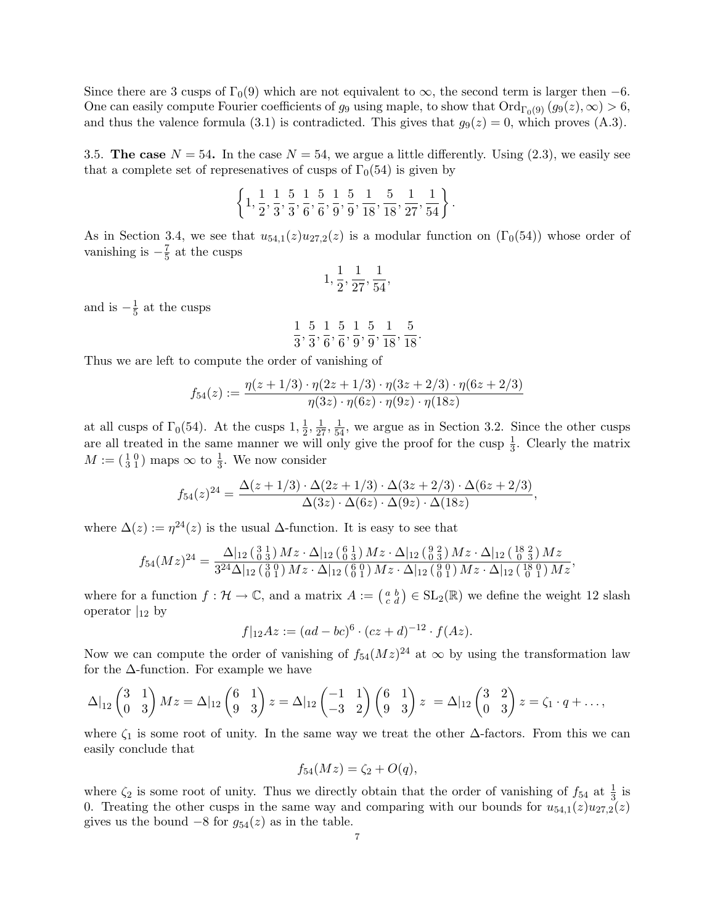Since there are 3 cusps of  $\Gamma_0(9)$  which are not equivalent to  $\infty$ , the second term is larger then –6. One can easily compute Fourier coefficients of  $g_9$  using maple, to show that  $\text{Ord}_{\Gamma_0(9)}(g_9(z),\infty) > 6$ , and thus the valence formula (3.1) is contradicted. This gives that  $g_9(z) = 0$ , which proves (A.3).

3.5. The case  $N = 54$ . In the case  $N = 54$ , we argue a little differently. Using (2.3), we easily see that a complete set of represenatives of cusps of  $\Gamma_0(54)$  is given by

$$
\left\{1, \frac{1}{2}, \frac{1}{3}, \frac{5}{3}, \frac{1}{6}, \frac{5}{6}, \frac{1}{9}, \frac{5}{9}, \frac{1}{18}, \frac{5}{18}, \frac{1}{27}, \frac{1}{54}\right\}.
$$

As in Section 3.4, we see that  $u_{54,1}(z)u_{27,2}(z)$  is a modular function on  $(\Gamma_0(54))$  whose order of vanishing is  $-\frac{7}{5}$  $\frac{7}{5}$  at the cusps

$$
1, \frac{1}{2}, \frac{1}{27}, \frac{1}{54},
$$

and is  $-\frac{1}{5}$  $\frac{1}{5}$  at the cusps

$$
\frac{1}{3}, \frac{5}{3}, \frac{1}{6}, \frac{5}{6}, \frac{1}{9}, \frac{5}{9}, \frac{1}{18}, \frac{5}{18}.
$$

Thus we are left to compute the order of vanishing of

$$
f_{54}(z) := \frac{\eta(z+1/3) \cdot \eta(2z+1/3) \cdot \eta(3z+2/3) \cdot \eta(6z+2/3)}{\eta(3z) \cdot \eta(6z) \cdot \eta(9z) \cdot \eta(18z)}
$$

at all cusps of  $\Gamma_0(54)$ . At the cusps  $1, \frac{1}{2}$  $\frac{1}{2}, \frac{1}{27}, \frac{1}{54}$ , we argue as in Section 3.2. Since the other cusps are all treated in the same manner we will only give the proof for the cusp  $\frac{1}{3}$ . Clearly the matrix  $M := \begin{pmatrix} 1 & 0 \\ 3 & 1 \end{pmatrix}$  maps  $\infty$  to  $\frac{1}{3}$ . We now consider

$$
f_{54}(z)^{24} = \frac{\Delta(z+1/3) \cdot \Delta(2z+1/3) \cdot \Delta(3z+2/3) \cdot \Delta(6z+2/3)}{\Delta(3z) \cdot \Delta(6z) \cdot \Delta(9z) \cdot \Delta(18z)},
$$

where  $\Delta(z) := \eta^{24}(z)$  is the usual  $\Delta$ -function. It is easy to see that

$$
f_{54}(Mz)^{24} = \frac{\Delta|_{12}(\frac{3}{0}\frac{1}{3})Mz \cdot \Delta|_{12}(\frac{6}{0}\frac{1}{3})Mz \cdot \Delta|_{12}(\frac{9}{0}\frac{2}{3})Mz \cdot \Delta|_{12}(\frac{18}{0}\frac{2}{3})Mz}{\Delta|_{12}(\frac{3}{0}\frac{0}{1})Mz \cdot \Delta|_{12}(\frac{6}{0}\frac{0}{1})Mz \cdot \Delta|_{12}(\frac{9}{0}\frac{0}{1})Mz \cdot \Delta|_{12}(\frac{18}{0}\frac{0}{1})Mz},
$$

where for a function  $f: \mathcal{H} \to \mathbb{C}$ , and a matrix  $A := \begin{pmatrix} a & b \\ c & d \end{pmatrix} \in SL_2(\mathbb{R})$  we define the weight 12 slash operator  $|_{12}$  by

$$
f|_{12}Az := (ad - bc)^6 \cdot (cz + d)^{-12} \cdot f(Az).
$$

Now we can compute the order of vanishing of  $f_{54}(Mz)^{24}$  at  $\infty$  by using the transformation law for the  $\Delta$ -function. For example we have

$$
\Delta|_{12}\begin{pmatrix}3&1\\0&3\end{pmatrix}Mz=\Delta|_{12}\begin{pmatrix}6&1\\9&3\end{pmatrix}z=\Delta|_{12}\begin{pmatrix}-1&1\\-3&2\end{pmatrix}\begin{pmatrix}6&1\\9&3\end{pmatrix}z=\Delta|_{12}\begin{pmatrix}3&2\\0&3\end{pmatrix}z=\zeta_1\cdot q+\ldots,
$$

where  $\zeta_1$  is some root of unity. In the same way we treat the other  $\Delta$ -factors. From this we can easily conclude that

$$
f_{54}(Mz) = \zeta_2 + O(q),
$$

where  $\zeta_2$  is some root of unity. Thus we directly obtain that the order of vanishing of  $f_{54}$  at  $\frac{1}{3}$  is 0. Treating the other cusps in the same way and comparing with our bounds for  $u_{54,1}(z)u_{27,2}(z)$ gives us the bound  $-8$  for  $g_{54}(z)$  as in the table.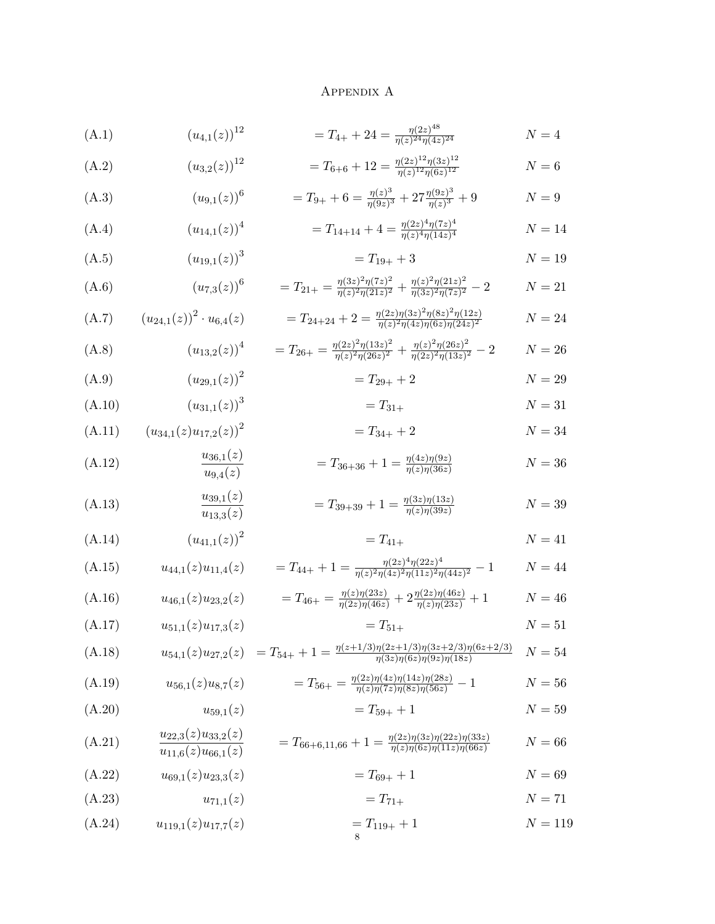# Appendix A

(A.1) 
$$
(u_{4,1}(z))^{12} = T_{4+} + 24 = \frac{\eta(2z)^{48}}{\eta(z)^{24}\eta(4z)^{24}} \qquad N = 4
$$

(A.2) 
$$
(u_{3,2}(z))^{12} = T_{6+6} + 12 = \frac{\eta(2z)^{12}\eta(3z)^{12}}{\eta(z)^{12}\eta(6z)^{12}} \qquad N = 6
$$

(A.3) 
$$
(u_{9,1}(z))^6 = T_{9+} + 6 = \frac{\eta(z)^3}{\eta(9z)^3} + 27 \frac{\eta(9z)^3}{\eta(z)^3} + 9 \qquad N = 9
$$

(A.4) 
$$
(u_{14,1}(z))^4 = T_{14+14} + 4 = \frac{\eta(2z)^4 \eta(7z)^4}{\eta(z)^4 \eta(14z)^4} \qquad N = 14
$$

(A.5) 
$$
(u_{19,1}(z))^3 = T_{19+} + 3
$$
  $N = 19$ 

$$
(A.6) \t\t\t (u_{7,3}(z))^6 \t\t\t = T_{21+} = \frac{\eta(3z)^2 \eta(7z)^2}{\eta(z)^2 \eta(21z)^2} + \frac{\eta(z)^2 \eta(21z)^2}{\eta(3z)^2 \eta(7z)^2} - 2 \t\t N = 21
$$

(A.7) 
$$
(u_{24,1}(z))^2 \cdot u_{6,4}(z) = T_{24+24} + 2 = \frac{\eta(2z)\eta(3z)^2\eta(8z)^2\eta(12z)}{\eta(z)^2\eta(4z)\eta(6z)\eta(24z)^2}
$$
  $N = 24$ 

$$
(A.8) \t\t\t (u_{13,2}(z))^4 \t\t = T_{26+} = \frac{\eta(2z)^2 \eta(13z)^2}{\eta(z)^2 \eta(26z)^2} + \frac{\eta(z)^2 \eta(26z)^2}{\eta(2z)^2 \eta(13z)^2} - 2 \t\t N = 26
$$

(A.9) 
$$
(u_{29,1}(z))^2 = T_{29+} + 2
$$
  $N = 29$ 

(A.10) 
$$
(u_{31,1}(z))^3 = T_{31+} \qquad N = 31
$$

(A.11) 
$$
(u_{34,1}(z)u_{17,2}(z))^2 = T_{34} + 2
$$
  $N = 34$ 

(A.12) 
$$
\frac{u_{36,1}(z)}{u_{9,4}(z)} = T_{36+36} + 1 = \frac{\eta(4z)\eta(9z)}{\eta(z)\eta(36z)} \qquad N = 36
$$

(A.13) 
$$
\frac{u_{39,1}(z)}{u_{13,3}(z)} = T_{39+39} + 1 = \frac{\eta(3z)\eta(13z)}{\eta(z)\eta(39z)}
$$
  $N = 39$ 

$$
(A.14) \t\t\t (u_{41,1}(z))^2 \t\t\t = T_{41+} \t\t N = 41
$$

(A.15) 
$$
u_{44,1}(z)u_{11,4}(z) = T_{44+} + 1 = \frac{\eta(2z)^{4}\eta(2z)^{4}}{\eta(z)^{2}\eta(4z)^{2}\eta(11z)^{2}\eta(44z)^{2}} - 1 \qquad N = 44
$$

$$
(A.16) \t u_{46,1}(z)u_{23,2}(z) = T_{46+} = \frac{\eta(z)\eta(23z)}{\eta(2z)\eta(46z)} + 2\frac{\eta(2z)\eta(46z)}{\eta(z)\eta(23z)} + 1 \t N = 46
$$

$$
(A.17) \t u51,1(z)u17,3(z) = T51+ \t N = 51
$$

$$
(A.18) \t u_{54,1}(z)u_{27,2}(z) = T_{54+} + 1 = \frac{\eta(z+1/3)\eta(2z+1/3)\eta(3z+2/3)\eta(6z+2/3)}{\eta(3z)\eta(6z)\eta(9z)\eta(18z)} \t N = 54
$$

(A.19) 
$$
u_{56,1}(z)u_{8,7}(z) = T_{56+} = \frac{\eta(2z)\eta(4z)\eta(14z)\eta(28z)}{\eta(z)\eta(7z)\eta(8z)\eta(56z)} - 1 \qquad N = 56
$$

(A.20) 
$$
u_{59,1}(z) = T_{59+} + 1 \qquad N = 59
$$

(A.21) 
$$
\frac{u_{22,3}(z)u_{33,2}(z)}{u_{11,6}(z)u_{66,1}(z)} = T_{66+6,11,66} + 1 = \frac{\eta(2z)\eta(3z)\eta(22z)\eta(33z)}{\eta(z)\eta(6z)\eta(11z)\eta(66z)} \qquad N = 66
$$

(A.22) 
$$
u_{69,1}(z)u_{23,3}(z) = T_{69+} + 1
$$
  $N = 69$   
(A.23)  $u_{71,1}(z) = T_{71}$   $N = 71$ 

$$
(A.23) \t\t\t u_{71,1}(z) = T_{71+} \t\t\t N = 71
$$

(A.24) 
$$
u_{119,1}(z)u_{17,7}(z) = T_{119+} + 1
$$
  $N = 119$